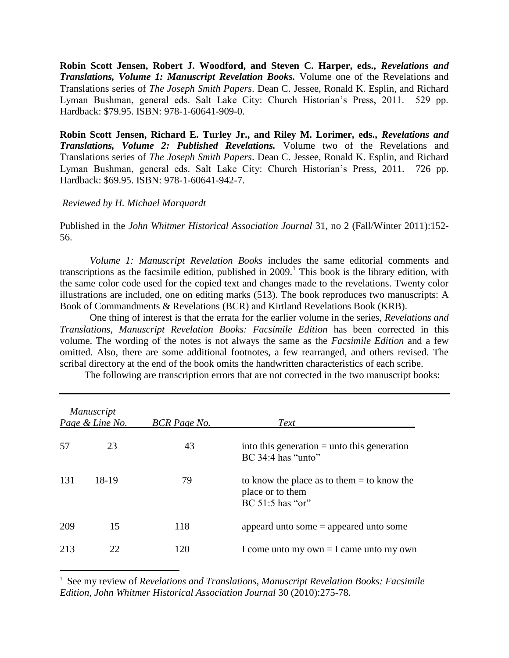**Robin Scott Jensen, Robert J. Woodford, and Steven C. Harper, eds.,** *Revelations and Translations, Volume 1: Manuscript Revelation Books.* Volume one of the Revelations and Translations series of *The Joseph Smith Papers*. Dean C. Jessee, Ronald K. Esplin, and Richard Lyman Bushman, general eds. Salt Lake City: Church Historian's Press, 2011. 529 pp. Hardback: \$79.95. ISBN: 978-1-60641-909-0.

**Robin Scott Jensen, Richard E. Turley Jr., and Riley M. Lorimer, eds.,** *Revelations and Translations, Volume 2: Published Revelations.* Volume two of the Revelations and Translations series of *The Joseph Smith Papers*. Dean C. Jessee, Ronald K. Esplin, and Richard Lyman Bushman, general eds. Salt Lake City: Church Historian's Press, 2011. 726 pp. Hardback: \$69.95. ISBN: 978-1-60641-942-7.

## *Reviewed by H. Michael Marquardt*

 $\overline{a}$ 

Published in the *John Whitmer Historical Association Journal* 31, no 2 (Fall/Winter 2011):152- 56.

*Volume 1: Manuscript Revelation Books* includes the same editorial comments and transcriptions as the facsimile edition, published in  $2009$ .<sup>1</sup> This book is the library edition, with the same color code used for the copied text and changes made to the revelations. Twenty color illustrations are included, one on editing marks (513). The book reproduces two manuscripts: A Book of Commandments & Revelations (BCR) and Kirtland Revelations Book (KRB).

One thing of interest is that the errata for the earlier volume in the series, *Revelations and Translations, Manuscript Revelation Books: Facsimile Edition* has been corrected in this volume. The wording of the notes is not always the same as the *Facsimile Edition* and a few omitted. Also, there are some additional footnotes, a few rearranged, and others revised. The scribal directory at the end of the book omits the handwritten characteristics of each scribe.

The following are transcription errors that are not corrected in the two manuscript books:

|      | <i>Manuscript</i><br>Page & Line No. | <b>BCR</b> Page No. | Text                                                                                   |
|------|--------------------------------------|---------------------|----------------------------------------------------------------------------------------|
| 57   | 23                                   | 43                  | into this generation $=$ unto this generation<br>$BC$ 34:4 has "unto"                  |
| -131 | 18-19                                | 79                  | to know the place as to them $=$ to know the<br>place or to them<br>$BC 51:5$ has "or" |
| 209  | 15                                   | 118                 | appeard unto some $=$ appeared unto some                                               |
| 213  | 22                                   | 120                 | I come unto my own $=$ I came unto my own                                              |

<sup>1</sup> See my review of *Revelations and Translations, Manuscript Revelation Books: Facsimile Edition*, *John Whitmer Historical Association Journal* 30 (2010):275-78.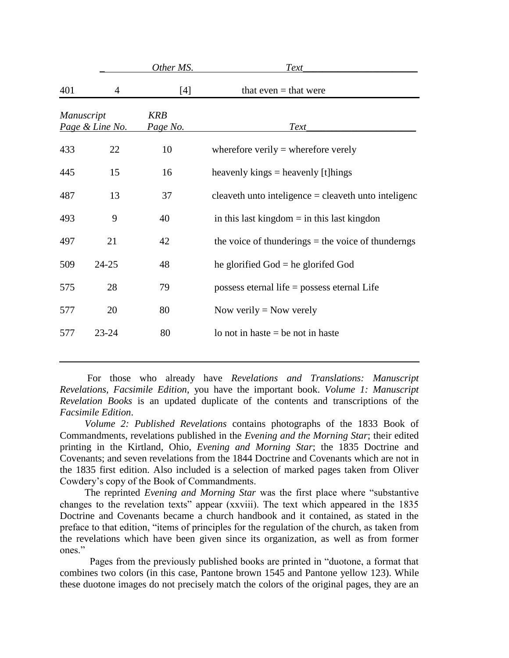|                                      |           | Other MS.              | Text                                                   |
|--------------------------------------|-----------|------------------------|--------------------------------------------------------|
| 401                                  | 4         | $[4]$                  | that even $=$ that were                                |
| <b>Manuscript</b><br>Page & Line No. |           | <b>KRB</b><br>Page No. | Text                                                   |
| 433                                  | 22        | 10                     | wherefore verily $=$ wherefore verely                  |
| 445                                  | 15        | 16                     | heavenly kings $=$ heavenly [t] hings                  |
| 487                                  | 13        | 37                     | cleaveth unto inteligence $=$ cleaveth unto inteligenc |
| 493                                  | 9         | 40                     | in this last kingdom $=$ in this last kingdon          |
| 497                                  | 21        | 42                     | the voice of thunderings $=$ the voice of thunderngs   |
| 509                                  | $24 - 25$ | 48                     | he glorified $God = he$ glorifed $God$                 |
| 575                                  | 28        | 79                     | possess eternal life $=$ possess eternal Life          |
| 577                                  | 20        | 80                     | Now verily $=$ Now verely                              |
| 577                                  | $23 - 24$ | 80                     | lo not in haste $=$ be not in haste                    |

 For those who already have *Revelations and Translations: Manuscript Revelations, Facsimile Edition*, you have the important book. *Volume 1: Manuscript Revelation Books* is an updated duplicate of the contents and transcriptions of the *Facsimile Edition*.

 *Volume 2: Published Revelations* contains photographs of the 1833 Book of Commandments, revelations published in the *Evening and the Morning Star*; their edited printing in the Kirtland, Ohio, *Evening and Morning Star*; the 1835 Doctrine and Covenants; and seven revelations from the 1844 Doctrine and Covenants which are not in the 1835 first edition. Also included is a selection of marked pages taken from Oliver Cowdery's copy of the Book of Commandments.

 The reprinted *Evening and Morning Star* was the first place where "substantive changes to the revelation texts" appear (xxviii). The text which appeared in the 1835 Doctrine and Covenants became a church handbook and it contained, as stated in the preface to that edition, "items of principles for the regulation of the church, as taken from the revelations which have been given since its organization, as well as from former ones"

Pages from the previously published books are printed in "duotone, a format that combines two colors (in this case, Pantone brown 1545 and Pantone yellow 123). While these duotone images do not precisely match the colors of the original pages, they are an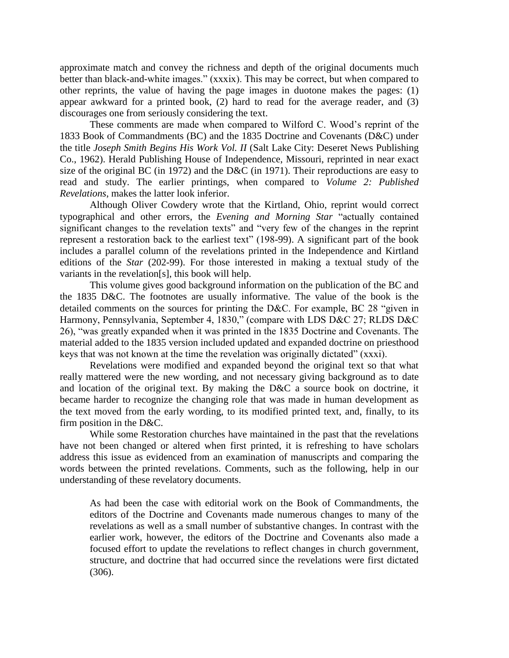approximate match and convey the richness and depth of the original documents much better than black-and-white images." (xxxix). This may be correct, but when compared to other reprints, the value of having the page images in duotone makes the pages: (1) appear awkward for a printed book, (2) hard to read for the average reader, and (3) discourages one from seriously considering the text.

These comments are made when compared to Wilford C. Wood's reprint of the 1833 Book of Commandments (BC) and the 1835 Doctrine and Covenants (D&C) under the title *Joseph Smith Begins His Work Vol. II* (Salt Lake City: Deseret News Publishing Co., 1962). Herald Publishing House of Independence, Missouri, reprinted in near exact size of the original BC (in 1972) and the D&C (in 1971). Their reproductions are easy to read and study. The earlier printings, when compared to *Volume 2: Published Revelations*, makes the latter look inferior.

Although Oliver Cowdery wrote that the Kirtland, Ohio, reprint would correct typographical and other errors, the *Evening and Morning Star* "actually contained significant changes to the revelation texts" and "very few of the changes in the reprint represent a restoration back to the earliest text" (198-99). A significant part of the book includes a parallel column of the revelations printed in the Independence and Kirtland editions of the *Star* (202-99). For those interested in making a textual study of the variants in the revelation[s], this book will help.

This volume gives good background information on the publication of the BC and the 1835 D&C. The footnotes are usually informative. The value of the book is the detailed comments on the sources for printing the D&C. For example, BC 28 "given in Harmony, Pennsylvania, September 4, 1830," (compare with LDS D&C 27; RLDS D&C 26), "was greatly expanded when it was printed in the 1835 Doctrine and Covenants. The material added to the 1835 version included updated and expanded doctrine on priesthood keys that was not known at the time the revelation was originally dictated" (xxxi).

Revelations were modified and expanded beyond the original text so that what really mattered were the new wording, and not necessary giving background as to date and location of the original text. By making the D&C a source book on doctrine, it became harder to recognize the changing role that was made in human development as the text moved from the early wording, to its modified printed text, and, finally, to its firm position in the D&C.

While some Restoration churches have maintained in the past that the revelations have not been changed or altered when first printed, it is refreshing to have scholars address this issue as evidenced from an examination of manuscripts and comparing the words between the printed revelations. Comments, such as the following, help in our understanding of these revelatory documents.

As had been the case with editorial work on the Book of Commandments, the editors of the Doctrine and Covenants made numerous changes to many of the revelations as well as a small number of substantive changes. In contrast with the earlier work, however, the editors of the Doctrine and Covenants also made a focused effort to update the revelations to reflect changes in church government, structure, and doctrine that had occurred since the revelations were first dictated (306).